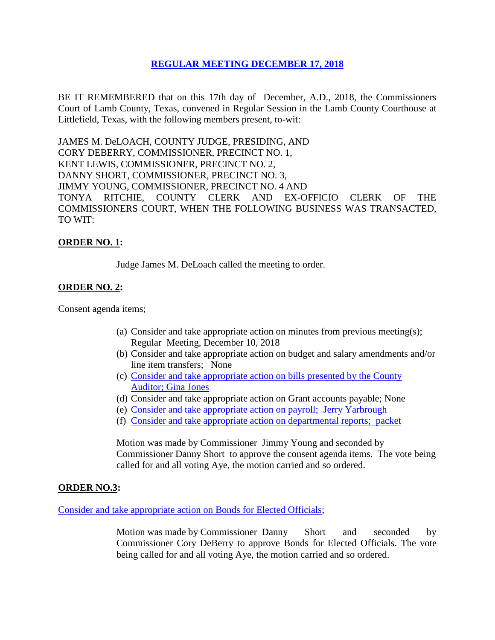# **REGULAR [MEETING DECEMBER 17, 2018](Links%202018-12-17-Regular/01%20AGENDA%20REGULAR%20MEETING%20DECEMBER%2017,%202018.pdf)**

BE IT REMEMBERED that on this 17th day of December, A.D., 2018, the Commissioners Court of Lamb County, Texas, convened in Regular Session in the Lamb County Courthouse at Littlefield, Texas, with the following members present, to-wit:

JAMES M. DeLOACH, COUNTY JUDGE, PRESIDING, AND CORY DEBERRY, COMMISSIONER, PRECINCT NO. 1, KENT LEWIS, COMMISSIONER, PRECINCT NO. 2, DANNY SHORT, COMMISSIONER, PRECINCT NO. 3, JIMMY YOUNG, COMMISSIONER, PRECINCT NO. 4 AND TONYA RITCHIE, COUNTY CLERK AND EX-OFFICIO CLERK OF THE COMMISSIONERS COURT, WHEN THE FOLLOWING BUSINESS WAS TRANSACTED, TO WIT:

# **ORDER NO. 1:**

Judge James M. DeLoach called the meeting to order.

### **ORDER NO. 2:**

Consent agenda items;

- (a) Consider and take appropriate action on minutes from previous meeting(s); Regular Meeting, December 10, 2018
- (b) Consider and take appropriate action on budget and salary amendments and/or line item transfers; None
- (c) [Consider and take appropriate action on bills presented by the County](Links%202018-12-17-Regular/03%20ACCOUNTS%20PAYABLE%20REGULAR%20MEETING%20DECEMBER%2017,%202018.pdf)  Auditor; [Gina Jones](Links%202018-12-17-Regular/03%20ACCOUNTS%20PAYABLE%20REGULAR%20MEETING%20DECEMBER%2017,%202018.pdf)
- (d) Consider and take appropriate action on Grant accounts payable; None
- (e) [Consider and take appropriate action on payroll; Jerry Yarbrough](Links%202018-12-17-Regular/04%20PAYROLL%20PAYABLES%20REGULAR%20MEETING%20DECEMBER%2017,%202018.pdf)
- (f) [Consider and take appropriate action on departmental reports; packet](Links%202018-12-17-Regular/05%20DEPARTMENTAL%20REPORTS%20REGULAR%20MEETING%20DECEMBER%2017,%202018.pdf)

Motion was made by Commissioner Jimmy Young and seconded by Commissioner Danny Short to approve the consent agenda items. The vote being called for and all voting Aye, the motion carried and so ordered.

#### **ORDER NO.3:**

[Consider and take appropriate action](Links%202018-12-17-Regular/06%20BONDS%20FOR%20ELECTED%20OFFICIALS%20REGULAR%20MEETING%20DECEMBER%2017,%202018.pdf) on Bonds for Elected Officials;

Motion was made by Commissioner Danny Short and seconded by Commissioner Cory DeBerry to approve Bonds for Elected Officials. The vote being called for and all voting Aye, the motion carried and so ordered.